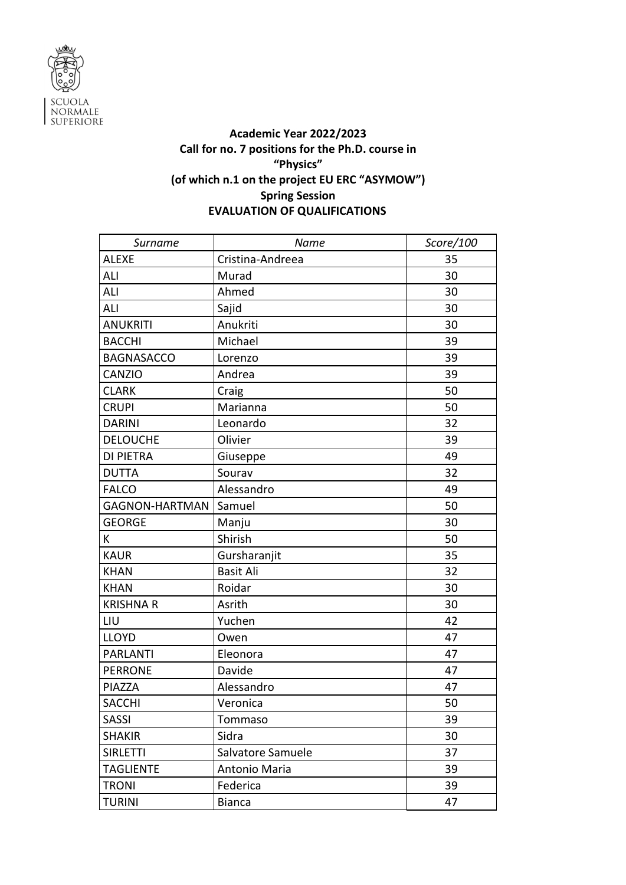

## **Academic Year 2022/2023 Call for no. 7 positions for the Ph.D. course in "Physics" (of which n.1 on the project EU ERC "ASYMOW") Spring Session EVALUATION OF QUALIFICATIONS**

| Surname               | Name              | Score/100 |
|-----------------------|-------------------|-----------|
| <b>ALEXE</b>          | Cristina-Andreea  | 35        |
| ALI                   | Murad             | 30        |
| ALI                   | Ahmed             | 30        |
| ALI                   | Sajid             | 30        |
| <b>ANUKRITI</b>       | Anukriti          | 30        |
| <b>BACCHI</b>         | Michael           | 39        |
| <b>BAGNASACCO</b>     | Lorenzo           | 39        |
| CANZIO                | Andrea            | 39        |
| <b>CLARK</b>          | Craig             | 50        |
| <b>CRUPI</b>          | Marianna          | 50        |
| <b>DARINI</b>         | Leonardo          | 32        |
| <b>DELOUCHE</b>       | Olivier           | 39        |
| <b>DI PIETRA</b>      | Giuseppe          | 49        |
| <b>DUTTA</b>          | Sourav            | 32        |
| <b>FALCO</b>          | Alessandro        | 49        |
| <b>GAGNON-HARTMAN</b> | Samuel            | 50        |
| <b>GEORGE</b>         | Manju             | 30        |
| К                     | Shirish           | 50        |
| <b>KAUR</b>           | Gursharanjit      | 35        |
| <b>KHAN</b>           | <b>Basit Ali</b>  | 32        |
| <b>KHAN</b>           | Roidar            | 30        |
| <b>KRISHNA R</b>      | Asrith            | 30        |
| LIU                   | Yuchen            | 42        |
| <b>LLOYD</b>          | Owen              | 47        |
| <b>PARLANTI</b>       | Eleonora          | 47        |
| <b>PERRONE</b>        | Davide            | 47        |
| PIAZZA                | Alessandro        | 47        |
| <b>SACCHI</b>         | Veronica          | 50        |
| <b>SASSI</b>          | Tommaso           | 39        |
| <b>SHAKIR</b>         | Sidra             | 30        |
| <b>SIRLETTI</b>       | Salvatore Samuele | 37        |
| <b>TAGLIENTE</b>      | Antonio Maria     | 39        |
| <b>TRONI</b>          | Federica          | 39        |
| <b>TURINI</b>         | <b>Bianca</b>     | 47        |